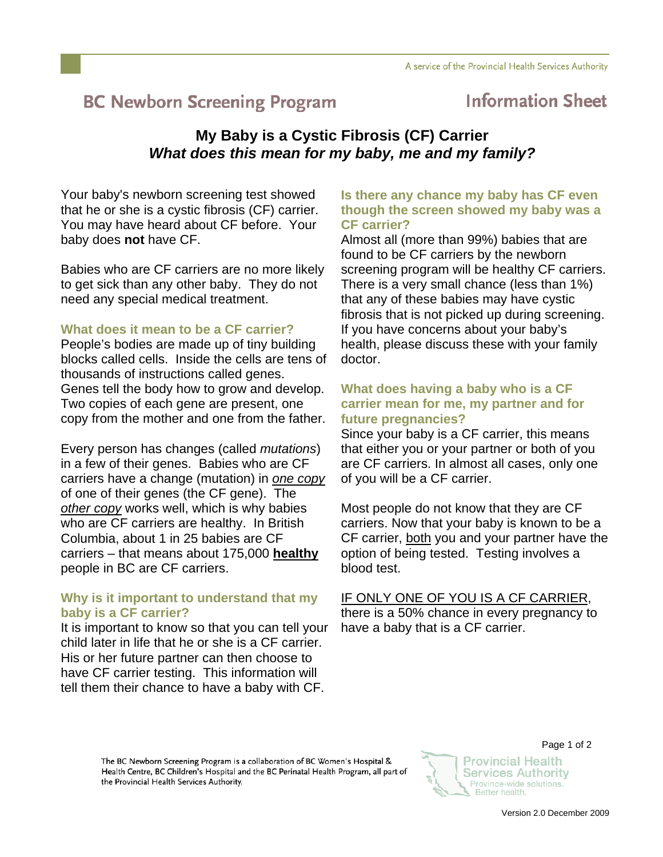# **BC Newborn Screening Program**

## **Information Sheet**

### **My Baby is a Cystic Fibrosis (CF) Carrier**  *What does this mean for my baby, me and my family?*

Your baby's newborn screening test showed that he or she is a cystic fibrosis (CF) carrier. You may have heard about CF before. Your baby does **not** have CF.

Babies who are CF carriers are no more likely to get sick than any other baby. They do not need any special medical treatment.

#### **What does it mean to be a CF carrier?**

People's bodies are made up of tiny building blocks called cells. Inside the cells are tens of thousands of instructions called genes. Genes tell the body how to grow and develop. Two copies of each gene are present, one copy from the mother and one from the father.

Every person has changes (called *mutations*) in a few of their genes. Babies who are CF carriers have a change (mutation) in *one copy* of one of their genes (the CF gene). The *other copy* works well, which is why babies who are CF carriers are healthy. In British Columbia, about 1 in 25 babies are CF carriers – that means about 175,000 **healthy** people in BC are CF carriers.

#### **Why is it important to understand that my baby is a CF carrier?**

It is important to know so that you can tell your child later in life that he or she is a CF carrier. His or her future partner can then choose to have CF carrier testing. This information will tell them their chance to have a baby with CF.

#### **Is there any chance my baby has CF even though the screen showed my baby was a CF carrier?**

Almost all (more than 99%) babies that are found to be CF carriers by the newborn screening program will be healthy CF carriers. There is a very small chance (less than 1%) that any of these babies may have cystic fibrosis that is not picked up during screening. If you have concerns about your baby's health, please discuss these with your family doctor.

#### **What does having a baby who is a CF carrier mean for me, my partner and for future pregnancies?**

Since your baby is a CF carrier, this means that either you or your partner or both of you are CF carriers. In almost all cases, only one of you will be a CF carrier.

Most people do not know that they are CF carriers. Now that your baby is known to be a CF carrier, both you and your partner have the option of being tested. Testing involves a blood test.

#### IF ONLY ONE OF YOU IS A CF CARRIER,

there is a 50% chance in every pregnancy to have a baby that is a CF carrier.